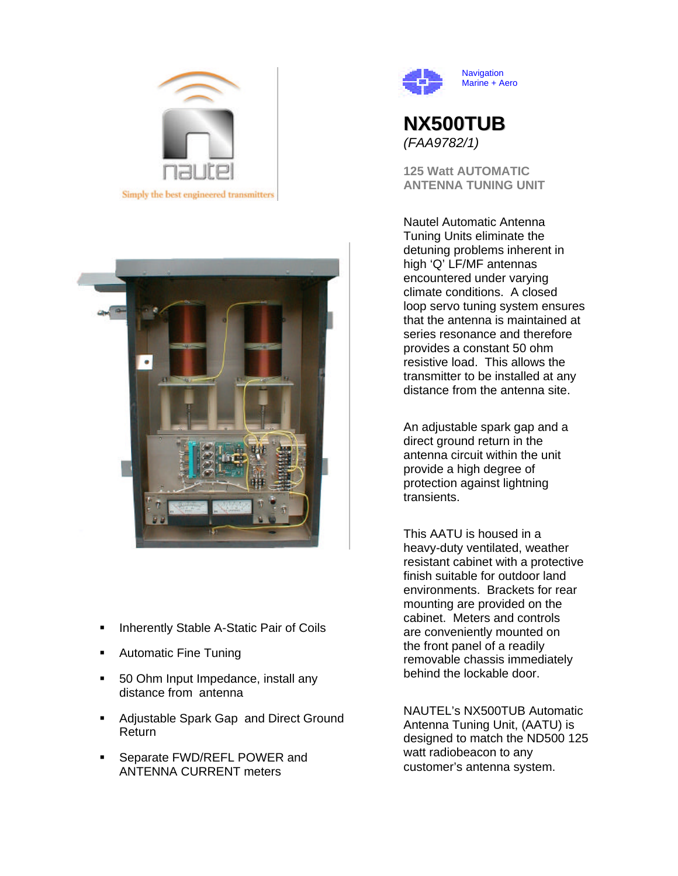



- ß Inherently Stable A-Static Pair of Coils
- Automatic Fine Tuning
- **50 Ohm Input Impedance, install any** distance from antenna
- **Adjustable Spark Gap and Direct Ground** Return
- **Separate FWD/REFL POWER and** ANTENNA CURRENT meters



# **NX500TUB** *(FAA9782/1)*

**125 Watt AUTOMATIC ANTENNA TUNING UNIT**

Nautel Automatic Antenna Tuning Units eliminate the detuning problems inherent in high 'Q' LF/MF antennas encountered under varying climate conditions. A closed loop servo tuning system ensures that the antenna is maintained at series resonance and therefore provides a constant 50 ohm resistive load. This allows the transmitter to be installed at any distance from the antenna site.

An adjustable spark gap and a direct ground return in the antenna circuit within the unit provide a high degree of protection against lightning transients.

This AATU is housed in a heavy-duty ventilated, weather resistant cabinet with a protective finish suitable for outdoor land environments. Brackets for rear mounting are provided on the cabinet. Meters and controls are conveniently mounted on the front panel of a readily removable chassis immediately behind the lockable door.

NAUTEL's NX500TUB Automatic Antenna Tuning Unit, (AATU) is designed to match the ND500 125 watt radiobeacon to any customer's antenna system.